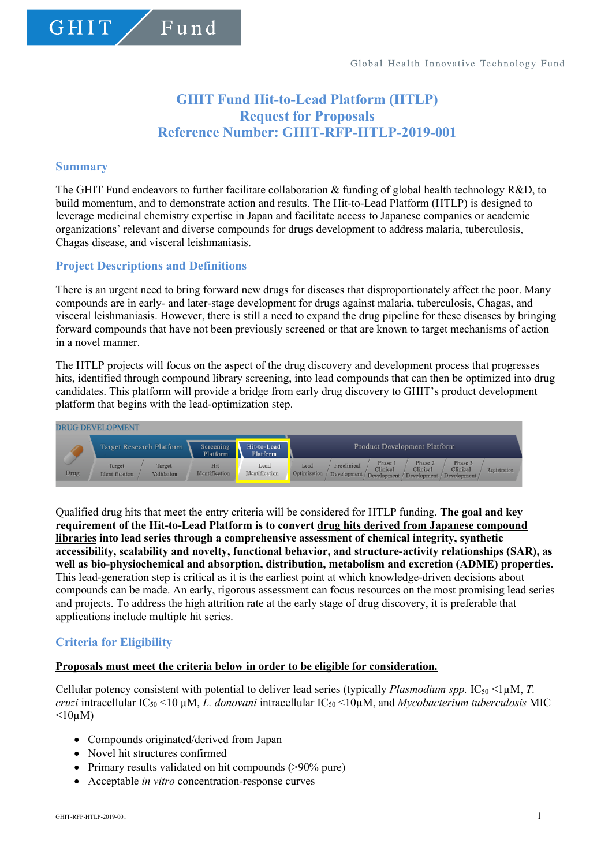# **GHIT Fund Hit-to-Lead Platform (HTLP) Request for Proposals Reference Number: GHIT-RFP-HTLP-2019-001**

### **Summary**

GHIT

The GHIT Fund endeavors to further facilitate collaboration & funding of global health technology R&D, to build momentum, and to demonstrate action and results. The Hit-to-Lead Platform (HTLP) is designed to leverage medicinal chemistry expertise in Japan and facilitate access to Japanese companies or academic organizations' relevant and diverse compounds for drugs development to address malaria, tuberculosis, Chagas disease, and visceral leishmaniasis.

### **Project Descriptions and Definitions**

Fund

There is an urgent need to bring forward new drugs for diseases that disproportionately affect the poor. Many compounds are in early- and later-stage development for drugs against malaria, tuberculosis, Chagas, and visceral leishmaniasis. However, there is still a need to expand the drug pipeline for these diseases by bringing forward compounds that have not been previously screened or that are known to target mechanisms of action in a novel manner.

The HTLP projects will focus on the aspect of the drug discovery and development process that progresses hits, identified through compound library screening, into lead compounds that can then be optimized into drug candidates. This platform will provide a bridge from early drug discovery to GHIT's product development platform that begins with the lead-optimization step.



Qualified drug hits that meet the entry criteria will be considered for HTLP funding. **The goal and key requirement of the Hit-to-Lead Platform is to convert drug hits derived from Japanese compound libraries into lead series through a comprehensive assessment of chemical integrity, synthetic accessibility, scalability and novelty, functional behavior, and structure-activity relationships (SAR), as well as bio-physiochemical and absorption, distribution, metabolism and excretion (ADME) properties.** This lead-generation step is critical as it is the earliest point at which knowledge-driven decisions about compounds can be made. An early, rigorous assessment can focus resources on the most promising lead series and projects. To address the high attrition rate at the early stage of drug discovery, it is preferable that applications include multiple hit series.

### **Criteria for Eligibility**

#### **Proposals must meet the criteria below in order to be eligible for consideration.**

Cellular potency consistent with potential to deliver lead series (typically *Plasmodium spp.* IC<sub>50</sub> <1µM, *T. cruzi* intracellular IC50 <10 µM, *L. donovani* intracellular IC50 <10µM, and *Mycobacterium tuberculosis* MIC  $\leq 10 \mu M$ )

- Compounds originated/derived from Japan
- Novel hit structures confirmed
- Primary results validated on hit compounds (>90% pure)
- Acceptable *in vitro* concentration-response curves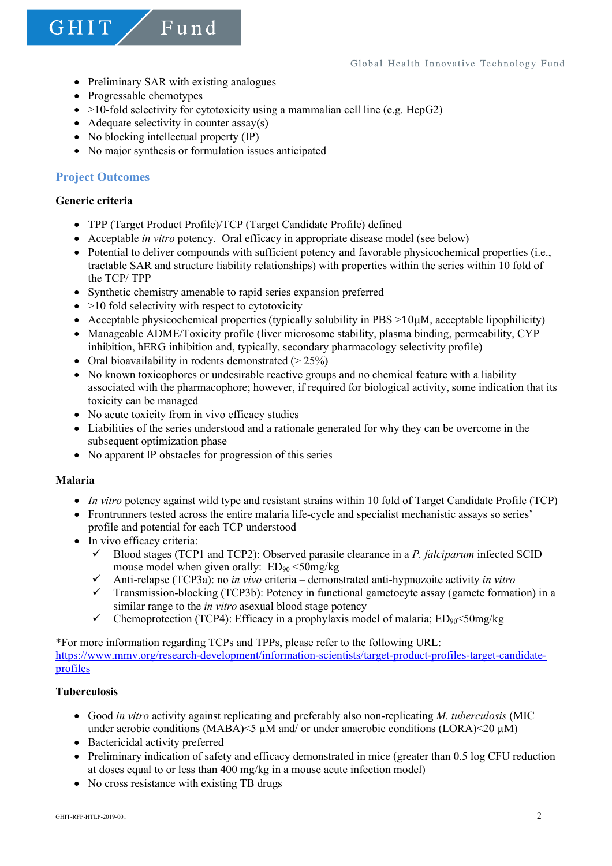• Preliminary SAR with existing analogues

Fund

- Progressable chemotypes
- $>10$ -fold selectivity for cytotoxicity using a mammalian cell line (e.g. HepG2)
- Adequate selectivity in counter  $assay(s)$
- No blocking intellectual property (IP)
- No major synthesis or formulation issues anticipated

# **Project Outcomes**

### **Generic criteria**

GHIT

- TPP (Target Product Profile)/TCP (Target Candidate Profile) defined
- Acceptable *in vitro* potency. Oral efficacy in appropriate disease model (see below)
- Potential to deliver compounds with sufficient potency and favorable physicochemical properties (i.e., tractable SAR and structure liability relationships) with properties within the series within 10 fold of the TCP/ TPP
- Synthetic chemistry amenable to rapid series expansion preferred
- $\bullet$  >10 fold selectivity with respect to cytotoxicity
- Acceptable physicochemical properties (typically solubility in PBS >10µM, acceptable lipophilicity)
- Manageable ADME/Toxicity profile (liver microsome stability, plasma binding, permeability, CYP inhibition, hERG inhibition and, typically, secondary pharmacology selectivity profile)
- Oral bioavailability in rodents demonstrated  $(> 25\%)$
- No known toxicophores or undesirable reactive groups and no chemical feature with a liability associated with the pharmacophore; however, if required for biological activity, some indication that its toxicity can be managed
- No acute toxicity from in vivo efficacy studies
- Liabilities of the series understood and a rationale generated for why they can be overcome in the subsequent optimization phase
- No apparent IP obstacles for progression of this series

### **Malaria**

- *In vitro* potency against wild type and resistant strains within 10 fold of Target Candidate Profile (TCP)
- Frontrunners tested across the entire malaria life-cycle and specialist mechanistic assays so series' profile and potential for each TCP understood
- In vivo efficacy criteria:
	- $\checkmark$  Blood stages (TCP1 and TCP2): Observed parasite clearance in a *P. falciparum* infected SCID mouse model when given orally:  $ED_{90} < 50$ mg/kg
	- ü Anti-relapse (TCP3a): no *in vivo* criteria demonstrated anti-hypnozoite activity *in vitro*
	- ü Transmission-blocking (TCP3b): Potency in functional gametocyte assay (gamete formation) in a similar range to the *in vitro* asexual blood stage potency
	- $\checkmark$  Chemoprotection (TCP4): Efficacy in a prophylaxis model of malaria; ED<sub>90</sub><50mg/kg

\*For more information regarding TCPs and TPPs, please refer to the following URL: https://www.mmv.org/research-development/information-scientists/target-product-profiles-target-candidateprofiles

### **Tuberculosis**

- Good *in vitro* activity against replicating and preferably also non-replicating *M. tuberculosis* (MIC under aerobic conditions (MABA) $\leq$   $\mu$ M and/ or under anaerobic conditions (LORA) $\leq$ 20  $\mu$ M)
- Bactericidal activity preferred
- Preliminary indication of safety and efficacy demonstrated in mice (greater than 0.5 log CFU reduction at doses equal to or less than 400 mg/kg in a mouse acute infection model)
- No cross resistance with existing TB drugs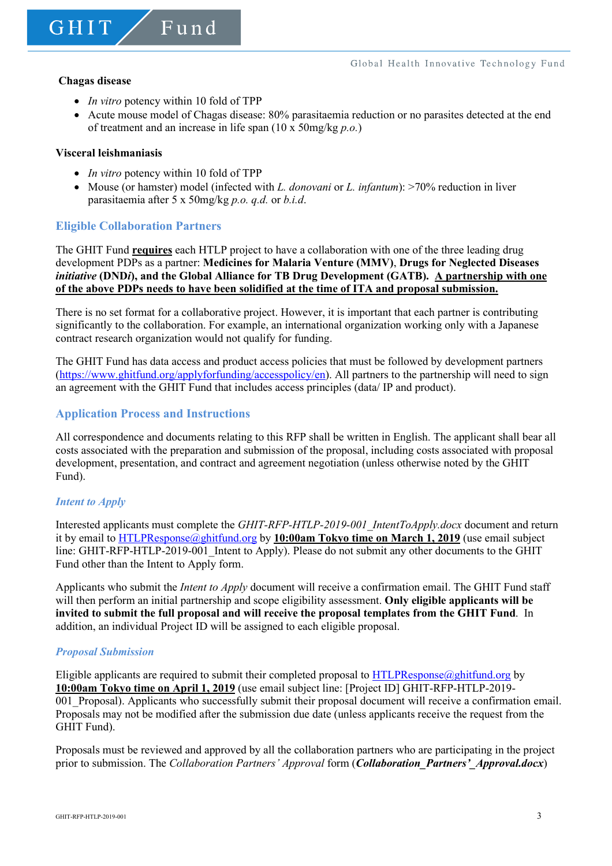GHIT

• *In vitro* potency within 10 fold of TPP

 $F$ und

• Acute mouse model of Chagas disease: 80% parasitaemia reduction or no parasites detected at the end of treatment and an increase in life span (10 x 50mg/kg *p.o.*)

#### **Visceral leishmaniasis**

- *In vitro* potency within 10 fold of TPP
- Mouse (or hamster) model (infected with *L. donovani* or *L. infantum*): >70% reduction in liver parasitaemia after 5 x 50mg/kg *p.o. q.d.* or *b.i.d*.

### **Eligible Collaboration Partners**

The GHIT Fund **requires** each HTLP project to have a collaboration with one of the three leading drug development PDPs as a partner: **Medicines for Malaria Venture (MMV)**, **Drugs for Neglected Diseases**  *initiative* **(DND***i***), and the Global Alliance for TB Drug Development (GATB). A partnership with one of the above PDPs needs to have been solidified at the time of ITA and proposal submission.**

There is no set format for a collaborative project. However, it is important that each partner is contributing significantly to the collaboration. For example, an international organization working only with a Japanese contract research organization would not qualify for funding.

The GHIT Fund has data access and product access policies that must be followed by development partners (https://www.ghitfund.org/applyforfunding/accesspolicy/en). All partners to the partnership will need to sign an agreement with the GHIT Fund that includes access principles (data/ IP and product).

### **Application Process and Instructions**

All correspondence and documents relating to this RFP shall be written in English. The applicant shall bear all costs associated with the preparation and submission of the proposal, including costs associated with proposal development, presentation, and contract and agreement negotiation (unless otherwise noted by the GHIT Fund).

### *Intent to Apply*

Interested applicants must complete the *GHIT-RFP-HTLP-2019-001\_IntentToApply.docx* document and return it by email to HTLPResponse@ghitfund.org by **10:00am Tokyo time on March 1, 2019** (use email subject line: GHIT-RFP-HTLP-2019-001\_Intent to Apply). Please do not submit any other documents to the GHIT Fund other than the Intent to Apply form.

Applicants who submit the *Intent to Apply* document will receive a confirmation email. The GHIT Fund staff will then perform an initial partnership and scope eligibility assessment. **Only eligible applicants will be invited to submit the full proposal and will receive the proposal templates from the GHIT Fund**. In addition, an individual Project ID will be assigned to each eligible proposal.

#### *Proposal Submission*

Eligible applicants are required to submit their completed proposal to HTLPResponse $\omega$ ghitfund.org by **10:00am Tokyo time on April 1, 2019** (use email subject line: [Project ID] GHIT-RFP-HTLP-2019- 001\_Proposal). Applicants who successfully submit their proposal document will receive a confirmation email. Proposals may not be modified after the submission due date (unless applicants receive the request from the GHIT Fund).

Proposals must be reviewed and approved by all the collaboration partners who are participating in the project prior to submission. The *Collaboration Partners' Approval* form (*Collaboration\_Partners'\_Approval.docx*)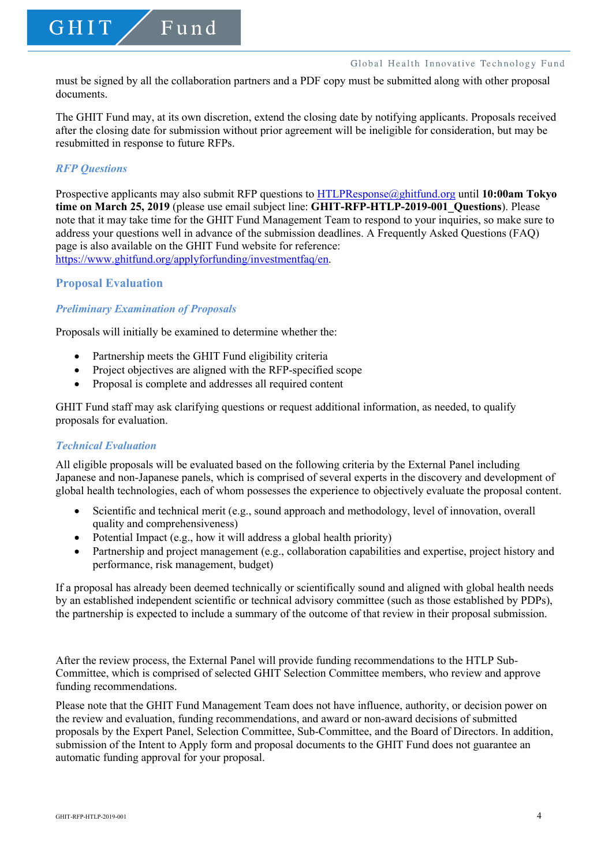must be signed by all the collaboration partners and a PDF copy must be submitted along with other proposal documents.

The GHIT Fund may, at its own discretion, extend the closing date by notifying applicants. Proposals received after the closing date for submission without prior agreement will be ineligible for consideration, but may be resubmitted in response to future RFPs.

### *RFP Questions*

GHIT

Prospective applicants may also submit RFP questions to HTLPResponse@ghitfund.org until **10:00am Tokyo time on March 25, 2019** (please use email subject line: **GHIT-RFP-HTLP-2019-001\_Questions**). Please note that it may take time for the GHIT Fund Management Team to respond to your inquiries, so make sure to address your questions well in advance of the submission deadlines. A Frequently Asked Questions (FAQ) page is also available on the GHIT Fund website for reference: https://www.ghitfund.org/applyforfunding/investmentfaq/en.

### **Proposal Evaluation**

### *Preliminary Examination of Proposals*

Proposals will initially be examined to determine whether the:

Fund

- Partnership meets the GHIT Fund eligibility criteria
- Project objectives are aligned with the RFP-specified scope
- Proposal is complete and addresses all required content

GHIT Fund staff may ask clarifying questions or request additional information, as needed, to qualify proposals for evaluation.

#### *Technical Evaluation*

All eligible proposals will be evaluated based on the following criteria by the External Panel including Japanese and non-Japanese panels, which is comprised of several experts in the discovery and development of global health technologies, each of whom possesses the experience to objectively evaluate the proposal content.

- Scientific and technical merit (e.g., sound approach and methodology, level of innovation, overall quality and comprehensiveness)
- Potential Impact (e.g., how it will address a global health priority)
- Partnership and project management (e.g., collaboration capabilities and expertise, project history and performance, risk management, budget)

If a proposal has already been deemed technically or scientifically sound and aligned with global health needs by an established independent scientific or technical advisory committee (such as those established by PDPs), the partnership is expected to include a summary of the outcome of that review in their proposal submission.

After the review process, the External Panel will provide funding recommendations to the HTLP Sub-Committee, which is comprised of selected GHIT Selection Committee members, who review and approve funding recommendations.

Please note that the GHIT Fund Management Team does not have influence, authority, or decision power on the review and evaluation, funding recommendations, and award or non-award decisions of submitted proposals by the Expert Panel, Selection Committee, Sub-Committee, and the Board of Directors. In addition, submission of the Intent to Apply form and proposal documents to the GHIT Fund does not guarantee an automatic funding approval for your proposal.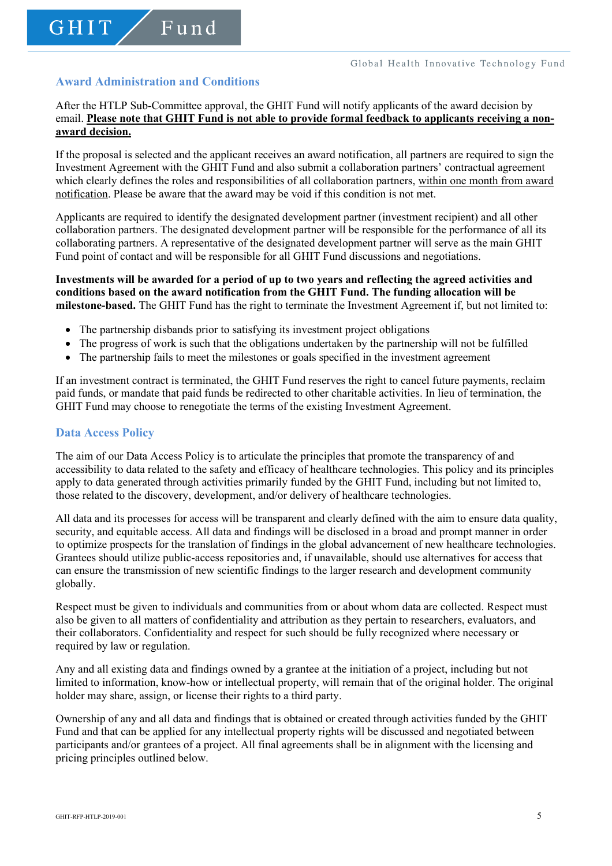# **Award Administration and Conditions**

GHIT

Fund

After the HTLP Sub-Committee approval, the GHIT Fund will notify applicants of the award decision by email. **Please note that GHIT Fund is not able to provide formal feedback to applicants receiving a nonaward decision.**

If the proposal is selected and the applicant receives an award notification, all partners are required to sign the Investment Agreement with the GHIT Fund and also submit a collaboration partners' contractual agreement which clearly defines the roles and responsibilities of all collaboration partners, within one month from award notification. Please be aware that the award may be void if this condition is not met.

Applicants are required to identify the designated development partner (investment recipient) and all other collaboration partners. The designated development partner will be responsible for the performance of all its collaborating partners. A representative of the designated development partner will serve as the main GHIT Fund point of contact and will be responsible for all GHIT Fund discussions and negotiations.

### **Investments will be awarded for a period of up to two years and reflecting the agreed activities and conditions based on the award notification from the GHIT Fund. The funding allocation will be milestone-based.** The GHIT Fund has the right to terminate the Investment Agreement if, but not limited to:

- The partnership disbands prior to satisfying its investment project obligations
- The progress of work is such that the obligations undertaken by the partnership will not be fulfilled
- The partnership fails to meet the milestones or goals specified in the investment agreement

If an investment contract is terminated, the GHIT Fund reserves the right to cancel future payments, reclaim paid funds, or mandate that paid funds be redirected to other charitable activities. In lieu of termination, the GHIT Fund may choose to renegotiate the terms of the existing Investment Agreement.

### **Data Access Policy**

The aim of our Data Access Policy is to articulate the principles that promote the transparency of and accessibility to data related to the safety and efficacy of healthcare technologies. This policy and its principles apply to data generated through activities primarily funded by the GHIT Fund, including but not limited to, those related to the discovery, development, and/or delivery of healthcare technologies.

All data and its processes for access will be transparent and clearly defined with the aim to ensure data quality, security, and equitable access. All data and findings will be disclosed in a broad and prompt manner in order to optimize prospects for the translation of findings in the global advancement of new healthcare technologies. Grantees should utilize public-access repositories and, if unavailable, should use alternatives for access that can ensure the transmission of new scientific findings to the larger research and development community globally.

Respect must be given to individuals and communities from or about whom data are collected. Respect must also be given to all matters of confidentiality and attribution as they pertain to researchers, evaluators, and their collaborators. Confidentiality and respect for such should be fully recognized where necessary or required by law or regulation.

Any and all existing data and findings owned by a grantee at the initiation of a project, including but not limited to information, know-how or intellectual property, will remain that of the original holder. The original holder may share, assign, or license their rights to a third party.

Ownership of any and all data and findings that is obtained or created through activities funded by the GHIT Fund and that can be applied for any intellectual property rights will be discussed and negotiated between participants and/or grantees of a project. All final agreements shall be in alignment with the licensing and pricing principles outlined below.